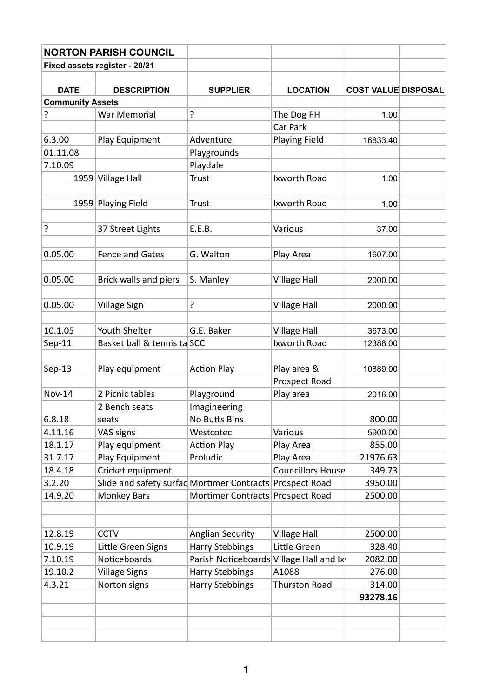|                               | <b>NORTON PARISH COUNCIL</b>                             |                                         |                          |                            |  |  |
|-------------------------------|----------------------------------------------------------|-----------------------------------------|--------------------------|----------------------------|--|--|
| Fixed assets register - 20/21 |                                                          |                                         |                          |                            |  |  |
|                               |                                                          |                                         |                          |                            |  |  |
| <b>DATE</b>                   | <b>DESCRIPTION</b>                                       | <b>SUPPLIER</b>                         | <b>LOCATION</b>          | <b>COST VALUE DISPOSAL</b> |  |  |
| <b>Community Assets</b>       |                                                          |                                         |                          |                            |  |  |
| ?                             | War Memorial                                             | ?                                       | The Dog PH               | 1.00                       |  |  |
|                               |                                                          |                                         | Car Park                 |                            |  |  |
| 6.3.00                        | Play Equipment                                           | Adventure                               | Playing Field            | 16833.40                   |  |  |
| 01.11.08                      |                                                          | Playgrounds                             |                          |                            |  |  |
| 7.10.09                       |                                                          | Playdale                                |                          |                            |  |  |
| 1959                          | <b>Village Hall</b>                                      | <b>Trust</b>                            | Ixworth Road             | 1.00                       |  |  |
|                               |                                                          |                                         |                          |                            |  |  |
|                               | 1959 Playing Field                                       | Trust                                   | Ixworth Road             | 1.00                       |  |  |
|                               |                                                          |                                         |                          |                            |  |  |
| ?                             | 37 Street Lights                                         | E.E.B.                                  | Various                  | 37.00                      |  |  |
|                               |                                                          |                                         |                          |                            |  |  |
| 0.05.00                       | <b>Fence and Gates</b>                                   | G. Walton                               | Play Area                | 1607.00                    |  |  |
|                               |                                                          |                                         |                          |                            |  |  |
| 0.05.00                       | Brick walls and piers                                    | S. Manley                               | <b>Village Hall</b>      | 2000.00                    |  |  |
|                               |                                                          |                                         |                          |                            |  |  |
| 0.05.00                       | <b>Village Sign</b>                                      | ?                                       | <b>Village Hall</b>      | 2000.00                    |  |  |
|                               |                                                          |                                         |                          |                            |  |  |
| 10.1.05                       | Youth Shelter                                            | G.E. Baker                              | <b>Village Hall</b>      | 3673.00                    |  |  |
| $Sep-11$                      | Basket ball & tennis ta SCC                              |                                         | Ixworth Road             | 12388.00                   |  |  |
|                               |                                                          |                                         |                          |                            |  |  |
| $Sep-13$                      | Play equipment                                           | <b>Action Play</b>                      | Play area &              | 10889.00                   |  |  |
|                               |                                                          |                                         | Prospect Road            |                            |  |  |
| <b>Nov-14</b>                 | 2 Picnic tables                                          | Playground                              | Play area                | 2016.00                    |  |  |
|                               | 2 Bench seats                                            | Imagineering                            |                          |                            |  |  |
| 6.8.18                        | seats                                                    | No Butts Bins                           |                          | 800.00                     |  |  |
| 4.11.16                       | VAS signs                                                | Westcotec                               | Various                  | 5900.00                    |  |  |
| 18.1.17                       | Play equipment                                           | <b>Action Play</b>                      | Play Area                | 855.00                     |  |  |
| 31.7.17                       | Play Equipment                                           | Proludic                                | Play Area                | 21976.63                   |  |  |
| 18.4.18                       | Cricket equipment                                        |                                         | <b>Councillors House</b> | 349.73                     |  |  |
| 3.2.20                        | Slide and safety surfac Mortimer Contracts Prospect Road |                                         |                          | 3950.00                    |  |  |
| 14.9.20                       | <b>Monkey Bars</b>                                       | Mortimer Contracts Prospect Road        |                          | 2500.00                    |  |  |
|                               |                                                          |                                         |                          |                            |  |  |
|                               |                                                          |                                         |                          |                            |  |  |
| 12.8.19                       | <b>CCTV</b>                                              | <b>Anglian Security</b>                 | <b>Village Hall</b>      | 2500.00                    |  |  |
| 10.9.19                       | Little Green Signs                                       | <b>Harry Stebbings</b>                  | Little Green             | 328.40                     |  |  |
| 7.10.19                       | Noticeboards                                             | Parish Noticeboards Village Hall and Ix |                          | 2082.00                    |  |  |
| 19.10.2                       | <b>Village Signs</b>                                     | <b>Harry Stebbings</b>                  | A1088                    | 276.00                     |  |  |
| 4.3.21                        | Norton signs                                             | <b>Harry Stebbings</b>                  | <b>Thurston Road</b>     | 314.00                     |  |  |
|                               |                                                          |                                         |                          | 93278.16                   |  |  |
|                               |                                                          |                                         |                          |                            |  |  |
|                               |                                                          |                                         |                          |                            |  |  |
|                               |                                                          |                                         |                          |                            |  |  |